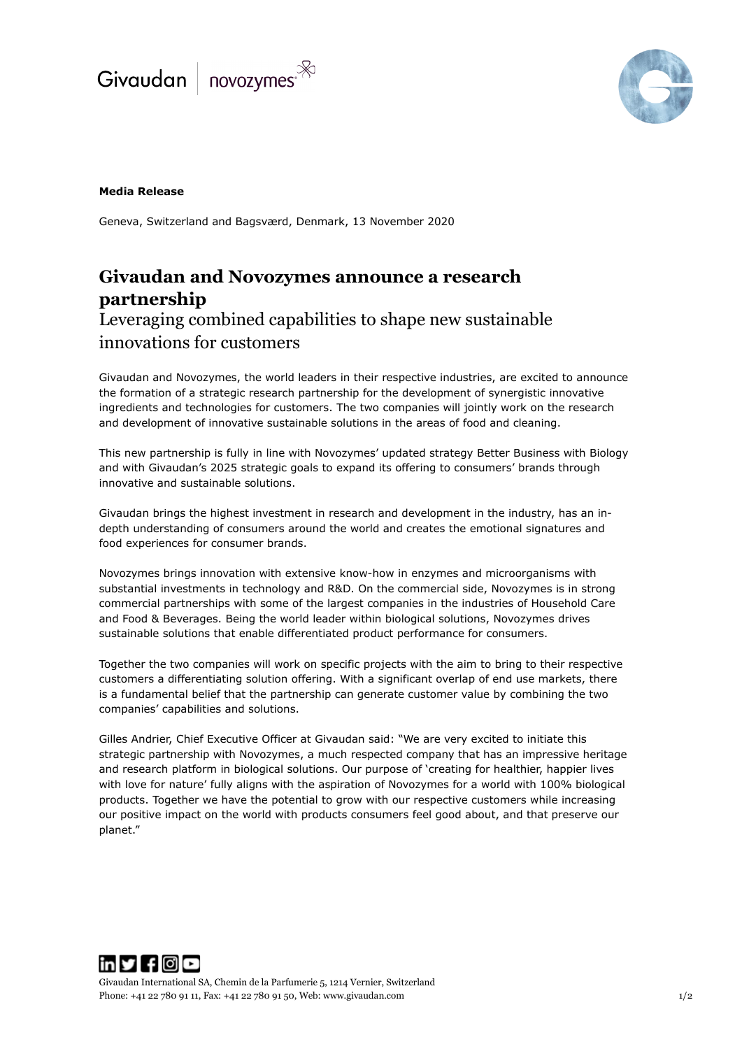



## **Media Release**

Geneva, Switzerland and Bagsværd, Denmark, 13 November 2020

# **Givaudan and Novozymes announce a research partnership**  Leveraging combined capabilities to shape new sustainable innovations for customers

Givaudan and Novozymes, the world leaders in their respective industries, are excited to announce the formation of a strategic research partnership for the development of synergistic innovative ingredients and technologies for customers. The two companies will jointly work on the research and development of innovative sustainable solutions in the areas of food and cleaning.

This new partnership is fully in line with Novozymes' updated strategy Better Business with Biology and with Givaudan's 2025 strategic goals to expand its offering to consumers' brands through innovative and sustainable solutions.

Givaudan brings the highest investment in research and development in the industry, has an indepth understanding of consumers around the world and creates the emotional signatures and food experiences for consumer brands.

Novozymes brings innovation with extensive know-how in enzymes and microorganisms with substantial investments in technology and R&D. On the commercial side, Novozymes is in strong commercial partnerships with some of the largest companies in the industries of Household Care and Food & Beverages. Being the world leader within biological solutions, Novozymes drives sustainable solutions that enable differentiated product performance for consumers.

Together the two companies will work on specific projects with the aim to bring to their respective customers a differentiating solution offering. With a significant overlap of end use markets, there is a fundamental belief that the partnership can generate customer value by combining the two companies' capabilities and solutions.

Gilles Andrier, Chief Executive Officer at Givaudan said: "We are very excited to initiate this strategic partnership with Novozymes, a much respected company that has an impressive heritage and research platform in biological solutions. Our purpose of 'creating for healthier, happier lives with love for nature' fully aligns with the aspiration of Novozymes for a world with 100% biological products. Together we have the potential to grow with our respective customers while increasing our positive impact on the world with products consumers feel good about, and that preserve our planet."



Givaudan International SA, Chemin de la Parfumerie 5, 1214 Vernier, Switzerland Phone: +41 22 780 91 11, Fax: +41 22 780 91 50, Web[: www.givaudan.com](http://www.givaudan.com/) 1/2